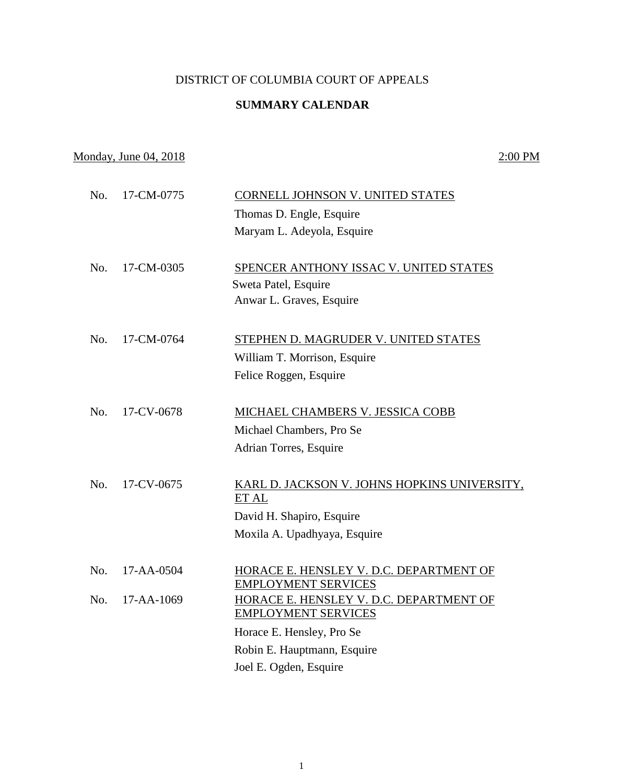## DISTRICT OF COLUMBIA COURT OF APPEALS

## **SUMMARY CALENDAR**

## Monday, June 04, 2018 2:00 PM

| No. | 17-CM-0775 | CORNELL JOHNSON V. UNITED STATES                                      |
|-----|------------|-----------------------------------------------------------------------|
|     |            | Thomas D. Engle, Esquire                                              |
|     |            | Maryam L. Adeyola, Esquire                                            |
| No. | 17-CM-0305 | SPENCER ANTHONY ISSAC V. UNITED STATES<br>Sweta Patel, Esquire        |
|     |            | Anwar L. Graves, Esquire                                              |
| No. | 17-CM-0764 | <b>STEPHEN D. MAGRUDER V. UNITED STATES</b>                           |
|     |            | William T. Morrison, Esquire                                          |
|     |            | Felice Roggen, Esquire                                                |
| No. | 17-CV-0678 | MICHAEL CHAMBERS V. JESSICA COBB                                      |
|     |            | Michael Chambers, Pro Se                                              |
|     |            | Adrian Torres, Esquire                                                |
| No. | 17-CV-0675 | KARL D. JACKSON V. JOHNS HOPKINS UNIVERSITY,<br>ET AL                 |
|     |            | David H. Shapiro, Esquire                                             |
|     |            | Moxila A. Upadhyaya, Esquire                                          |
|     |            |                                                                       |
| No. | 17-AA-0504 | HORACE E. HENSLEY V. D.C. DEPARTMENT OF<br><b>EMPLOYMENT SERVICES</b> |
| No. | 17-AA-1069 | HORACE E. HENSLEY V. D.C. DEPARTMENT OF<br><b>EMPLOYMENT SERVICES</b> |
|     |            | Horace E. Hensley, Pro Se                                             |
|     |            | Robin E. Hauptmann, Esquire                                           |
|     |            | Joel E. Ogden, Esquire                                                |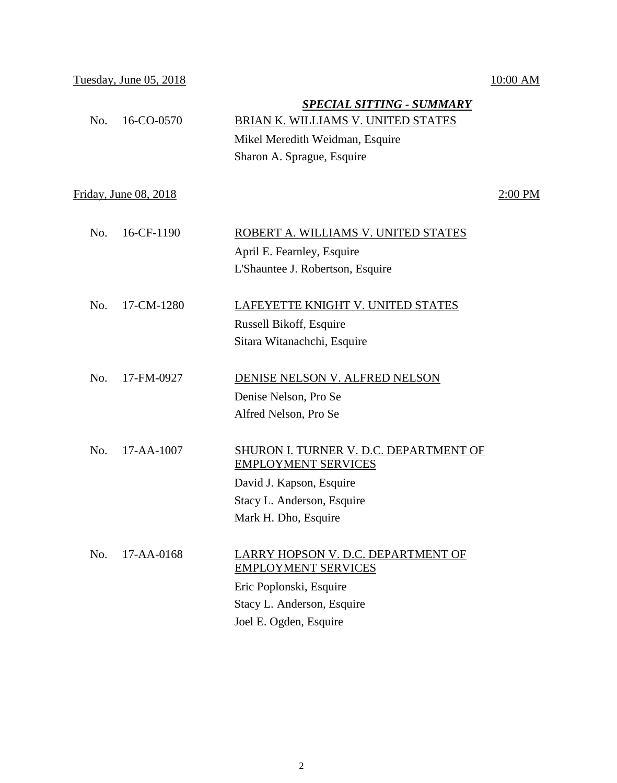Tuesday, June 05, 2018 10:00 AM

|     |                       | <u>SPECIAL SITTING - SUMMARY</u>                                     |           |
|-----|-----------------------|----------------------------------------------------------------------|-----------|
| No. | 16-CO-0570            | BRIAN K. WILLIAMS V. UNITED STATES                                   |           |
|     |                       | Mikel Meredith Weidman, Esquire                                      |           |
|     |                       | Sharon A. Sprague, Esquire                                           |           |
|     | Friday, June 08, 2018 |                                                                      | $2:00$ PM |
| No. | 16-CF-1190            | ROBERT A. WILLIAMS V. UNITED STATES                                  |           |
|     |                       | April E. Fearnley, Esquire                                           |           |
|     |                       | L'Shauntee J. Robertson, Esquire                                     |           |
| No. | 17-CM-1280            | LAFEYETTE KNIGHT V. UNITED STATES                                    |           |
|     |                       | Russell Bikoff, Esquire                                              |           |
|     |                       | Sitara Witanachchi, Esquire                                          |           |
| No. | 17-FM-0927            | DENISE NELSON V. ALFRED NELSON                                       |           |
|     |                       | Denise Nelson, Pro Se                                                |           |
|     |                       | Alfred Nelson, Pro Se                                                |           |
| No. | 17-AA-1007            | SHURON I. TURNER V. D.C. DEPARTMENT OF<br><b>EMPLOYMENT SERVICES</b> |           |
|     |                       | David J. Kapson, Esquire                                             |           |
|     |                       | Stacy L. Anderson, Esquire                                           |           |
|     |                       | Mark H. Dho, Esquire                                                 |           |
| No. | 17-AA-0168            | LARRY HOPSON V. D.C. DEPARTMENT OF<br><b>EMPLOYMENT SERVICES</b>     |           |
|     |                       | Eric Poplonski, Esquire                                              |           |
|     |                       | Stacy L. Anderson, Esquire                                           |           |
|     |                       | Joel E. Ogden, Esquire                                               |           |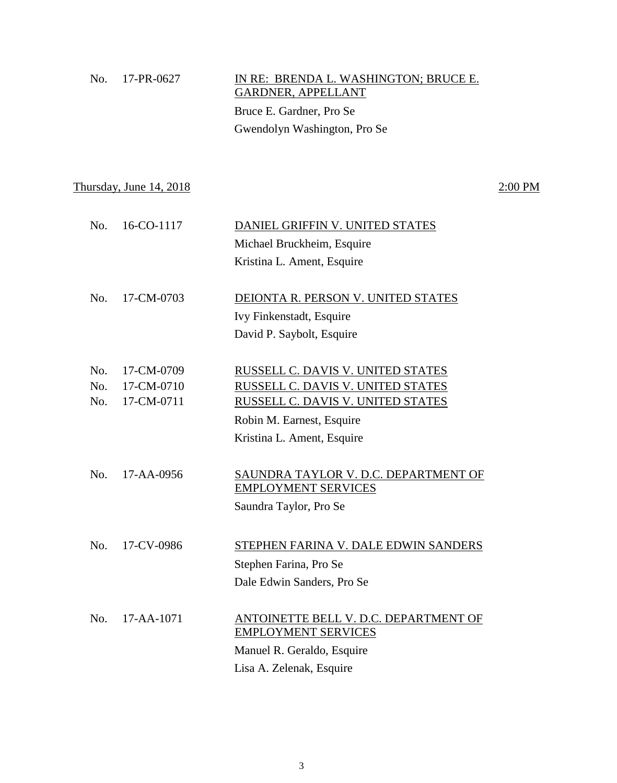| No. 17-PR-0627 | IN RE: BRENDA L. WASHINGTON; BRUCE E.<br>GARDNER, APPELLANT |
|----------------|-------------------------------------------------------------|
|                | Bruce E. Gardner, Pro Se                                    |
|                | Gwendolyn Washington, Pro Se                                |

Thursday, June  $14, 2018$   $2:00 \text{ PM}$ 

| No. | 16-CO-1117       | DANIEL GRIFFIN V. UNITED STATES       |
|-----|------------------|---------------------------------------|
|     |                  | Michael Bruckheim, Esquire            |
|     |                  | Kristina L. Ament, Esquire            |
|     |                  |                                       |
| No. | 17-CM-0703       | DEIONTA R. PERSON V. UNITED STATES    |
|     |                  | Ivy Finkenstadt, Esquire              |
|     |                  | David P. Saybolt, Esquire             |
|     |                  |                                       |
| No. | 17-CM-0709       | RUSSELL C. DAVIS V. UNITED STATES     |
| No. | 17-CM-0710       | RUSSELL C. DAVIS V. UNITED STATES     |
| No. | 17-CM-0711       | RUSSELL C. DAVIS V. UNITED STATES     |
|     |                  | Robin M. Earnest, Esquire             |
|     |                  | Kristina L. Ament, Esquire            |
|     |                  |                                       |
| No. | $17 - AA - 0956$ | SAUNDRA TAYLOR V. D.C. DEPARTMENT OF  |
|     |                  | <b>EMPLOYMENT SERVICES</b>            |
|     |                  | Saundra Taylor, Pro Se                |
|     |                  |                                       |
| No. | 17-CV-0986       | STEPHEN FARINA V. DALE EDWIN SANDERS  |
|     |                  | Stephen Farina, Pro Se                |
|     |                  | Dale Edwin Sanders, Pro Se            |
|     |                  |                                       |
| No. | $17 - AA - 1071$ | ANTOINETTE BELL V. D.C. DEPARTMENT OF |
|     |                  | <b>EMPLOYMENT SERVICES</b>            |
|     |                  | Manuel R. Geraldo, Esquire            |
|     |                  | Lisa A. Zelenak, Esquire              |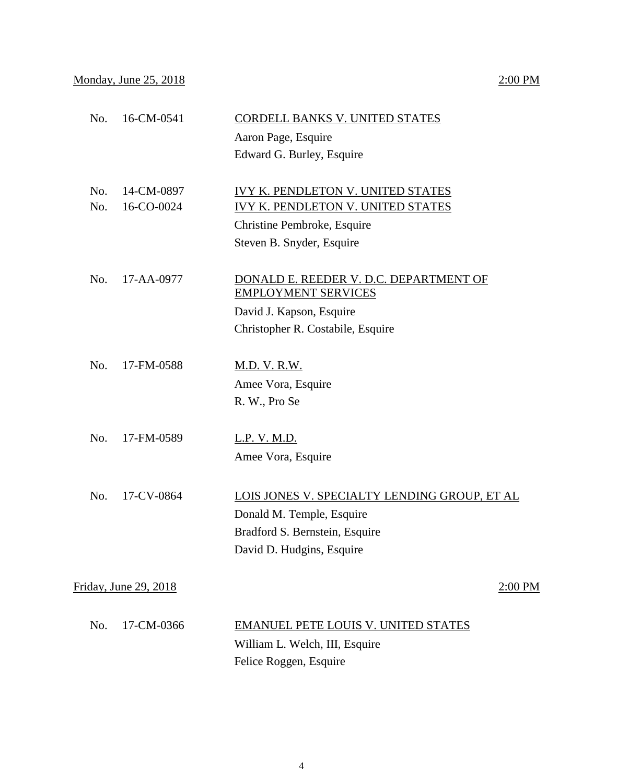# No. 16-CM-0541 CORDELL BANKS V. UNITED STATES Aaron Page, Esquire Edward G. Burley, Esquire No. 14-CM-0897 IVY K. PENDLETON V. UNITED STATES No. 16-CO-0024 IVY K. PENDLETON V. UNITED STATES Christine Pembroke, Esquire Steven B. Snyder, Esquire No. 17-AA-0977 DONALD E. REEDER V. D.C. DEPARTMENT OF EMPLOYMENT SERVICES

David J. Kapson, Esquire Christopher R. Costabile, Esquire

- No. 17-FM-0588 M.D. V. R.W. Amee Vora, Esquire R. W., Pro Se
- No. 17-FM-0589 L.P. V. M.D. Amee Vora, Esquire
- No. 17-CV-0864 LOIS JONES V. SPECIALTY LENDING GROUP, ET AL Donald M. Temple, Esquire Bradford S. Bernstein, Esquire David D. Hudgins, Esquire

Friday, June 29,  $2018$  2:00 PM

| No. 17-CM-0366 | <b>EMANUEL PETE LOUIS V. UNITED STATES</b> |
|----------------|--------------------------------------------|
|                | William L. Welch, III, Esquire             |
|                | Felice Roggen, Esquire                     |

## 4